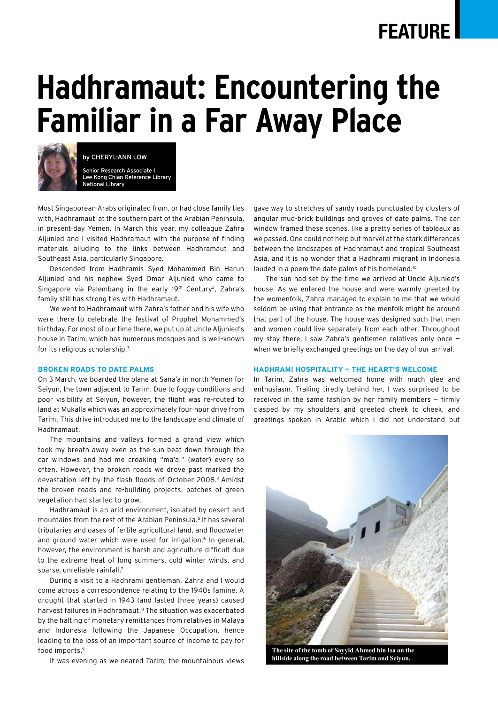# **FEATURE**

# **Hadhramaut: Encountering the Familiar in a Far Away Place**



by Cheryl-Ann Low

Senior Research Associate I Lee Kong Chian Reference Library National Library

Most Singaporean Arabs originated from, or had close family ties with, Hadhramaut<sup>1</sup> at the southern part of the Arabian Peninsula, in present-day Yemen. In March this year, my colleague Zahra Aljunied and I visited Hadhramaut with the purpose of finding materials alluding to the links between Hadhramaut and Southeast Asia, particularly Singapore.

Descended from Hadhramis Syed Mohammed Bin Harun Aljunied and his nephew Syed Omar Aljunied who came to Singapore via Palembang in the early 19th Century<sup>2</sup>, Zahra's family still has strong ties with Hadhramaut.

We went to Hadhramaut with Zahra's father and his wife who were there to celebrate the festival of Prophet Mohammed's birthday. For most of our time there, we put up at Uncle Aljunied's house in Tarim, which has numerous mosques and is well-known for its religious scholarship.<sup>3</sup>

#### **Broken Roads to Date Palms**

On 3 March, we boarded the plane at Sana'a in north Yemen for Seiyun, the town adjacent to Tarim. Due to foggy conditions and poor visibility at Seiyun, however, the flight was re-routed to land at Mukalla which was an approximately four-hour drive from Tarim. This drive introduced me to the landscape and climate of Hadhramaut.

The mountains and valleys formed a grand view which took my breath away even as the sun beat down through the car windows and had me croaking "ma'a!" (water) every so often. However, the broken roads we drove past marked the devastation left by the flash floods of October 2008.4 Amidst the broken roads and re-building projects, patches of green vegetation had started to grow.

Hadhramaut is an arid environment, isolated by desert and mountains from the rest of the Arabian Peninsula.5 It has several tributaries and oases of fertile agricultural land, and floodwater and ground water which were used for irrigation.<sup>6</sup> In general, however, the environment is harsh and agriculture difficult due to the extreme heat of long summers, cold winter winds, and sparse, unreliable rainfall.7

During a visit to a Hadhrami gentleman, Zahra and I would come across a correspondence relating to the 1940s famine. A drought that started in 1943 (and lasted three years) caused harvest failures in Hadhramaut.<sup>8</sup> The situation was exacerbated by the halting of monetary remittances from relatives in Malaya and Indonesia following the Japanese Occupation, hence leading to the loss of an important source of income to pay for food imports.9

It was evening as we neared Tarim; the mountainous views

gave way to stretches of sandy roads punctuated by clusters of angular mud-brick buildings and groves of date palms. The car window framed these scenes, like a pretty series of tableaux as we passed. One could not help but marvel at the stark differences between the landscapes of Hadhramaut and tropical Southeast Asia, and it is no wonder that a Hadhrami migrant in Indonesia lauded in a poem the date palms of his homeland.<sup>10</sup>

The sun had set by the time we arrived at Uncle Aljunied's house. As we entered the house and were warmly greeted by the womenfolk, Zahra managed to explain to me that we would seldom be using that entrance as the menfolk might be around that part of the house. The house was designed such that men and women could live separately from each other. Throughout my stay there, I saw Zahra's gentlemen relatives only once when we briefly exchanged greetings on the day of our arrival.

#### **Hadhrami Hospitality — The Heart's Welcome**

In Tarim, Zahra was welcomed home with much glee and enthusiasm. Trailing tiredly behind her, I was surprised to be received in the same fashion by her family members — firmly clasped by my shoulders and greeted cheek to cheek, and greetings spoken in Arabic which I did not understand but



**The site of the tomb of Sayyid Ahmed bin Isa on the hillside along the road between Tarim and Seiyun.**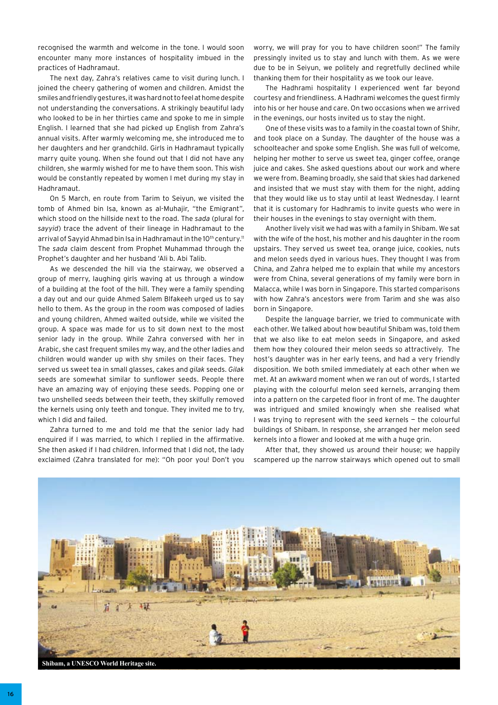recognised the warmth and welcome in the tone. I would soon encounter many more instances of hospitality imbued in the practices of Hadhramaut.

The next day, Zahra's relatives came to visit during lunch. I joined the cheery gathering of women and children. Amidst the smiles and friendly gestures, it was hard not to feel at home despite not understanding the conversations. A strikingly beautiful lady who looked to be in her thirties came and spoke to me in simple English. I learned that she had picked up English from Zahra's annual visits. After warmly welcoming me, she introduced me to her daughters and her grandchild. Girls in Hadhramaut typically marry quite young. When she found out that I did not have any children, she warmly wished for me to have them soon. This wish would be constantly repeated by women I met during my stay in Hadhramaut.

On 5 March, en route from Tarim to Seiyun, we visited the tomb of Ahmed bin Isa, known as al-Muhajir, "the Emigrant", which stood on the hillside next to the road. The *sada* (plural for *sayyid*) trace the advent of their lineage in Hadhramaut to the arrival of Sayyid Ahmad bin Isa in Hadhramaut in the 10<sup>th</sup> century.<sup>11</sup> The *sada* claim descent from Prophet Muhammad through the Prophet's daughter and her husband 'Ali b. Abi Talib.

As we descended the hill via the stairway, we observed a group of merry, laughing girls waving at us through a window of a building at the foot of the hill. They were a family spending a day out and our guide Ahmed Salem Blfakeeh urged us to say hello to them. As the group in the room was composed of ladies and young children, Ahmed waited outside, while we visited the group. A space was made for us to sit down next to the most senior lady in the group. While Zahra conversed with her in Arabic, she cast frequent smiles my way, and the other ladies and children would wander up with shy smiles on their faces. They served us sweet tea in small glasses, cakes and *gilak* seeds. *Gilak* seeds are somewhat similar to sunflower seeds. People there have an amazing way of enjoying these seeds. Popping one or two unshelled seeds between their teeth, they skilfully removed the kernels using only teeth and tongue. They invited me to try, which I did and failed.

Zahra turned to me and told me that the senior lady had enquired if I was married, to which I replied in the affirmative. She then asked if I had children. Informed that I did not, the lady exclaimed (Zahra translated for me): "Oh poor you! Don't you worry, we will pray for you to have children soon!" The family pressingly invited us to stay and lunch with them. As we were due to be in Seiyun, we politely and regretfully declined while thanking them for their hospitality as we took our leave.

The Hadhrami hospitality I experienced went far beyond courtesy and friendliness. A Hadhrami welcomes the guest firmly into his or her house and care. On two occasions when we arrived in the evenings, our hosts invited us to stay the night.

One of these visits was to a family in the coastal town of Shihr, and took place on a Sunday. The daughter of the house was a schoolteacher and spoke some English. She was full of welcome, helping her mother to serve us sweet tea, ginger coffee, orange juice and cakes. She asked questions about our work and where we were from. Beaming broadly, she said that skies had darkened and insisted that we must stay with them for the night, adding that they would like us to stay until at least Wednesday. I learnt that it is customary for Hadhramis to invite guests who were in their houses in the evenings to stay overnight with them.

Another lively visit we had was with a family in Shibam. We sat with the wife of the host, his mother and his daughter in the room upstairs. They served us sweet tea, orange juice, cookies, nuts and melon seeds dyed in various hues. They thought I was from China, and Zahra helped me to explain that while my ancestors were from China, several generations of my family were born in Malacca, while I was born in Singapore. This started comparisons with how Zahra's ancestors were from Tarim and she was also born in Singapore.

Despite the language barrier, we tried to communicate with each other. We talked about how beautiful Shibam was, told them that we also like to eat melon seeds in Singapore, and asked them how they coloured their melon seeds so attractively. The host's daughter was in her early teens, and had a very friendly disposition. We both smiled immediately at each other when we met. At an awkward moment when we ran out of words, I started playing with the colourful melon seed kernels, arranging them into a pattern on the carpeted floor in front of me. The daughter was intrigued and smiled knowingly when she realised what I was trying to represent with the seed kernels — the colourful buildings of Shibam. In response, she arranged her melon seed kernels into a flower and looked at me with a huge grin.

After that, they showed us around their house; we happily scampered up the narrow stairways which opened out to small



**Shibam, a UNESCO World Heritage site.**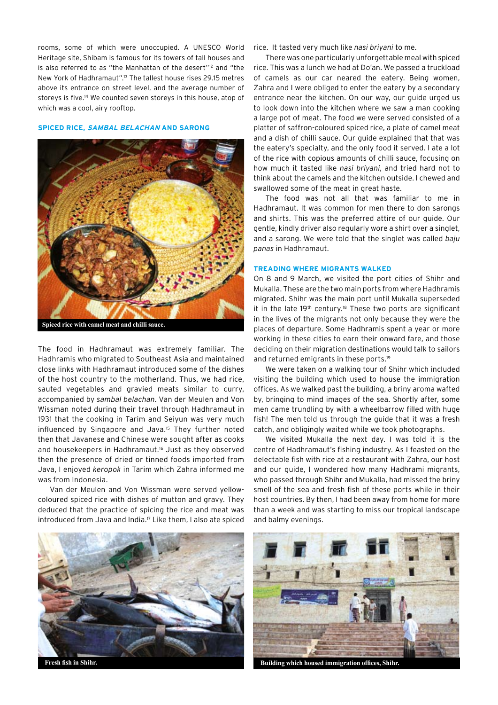rooms, some of which were unoccupied. A UNESCO World Heritage site, Shibam is famous for its towers of tall houses and is also referred to as "the Manhattan of the desert"<sup>12</sup> and "the New York of Hadhramaut".13 The tallest house rises 29.15 metres above its entrance on street level, and the average number of storeys is five.<sup>14</sup> We counted seven storeys in this house, atop of which was a cool, airy rooftop.

#### **Spiced Rice, Sambal Belachan and Sarong**



The food in Hadhramaut was extremely familiar. The Hadhramis who migrated to Southeast Asia and maintained close links with Hadhramaut introduced some of the dishes of the host country to the motherland. Thus, we had rice, sauted vegetables and gravied meats similar to curry, accompanied by *sambal belachan*. Van der Meulen and Von Wissman noted during their travel through Hadhramaut in 1931 that the cooking in Tarim and Seiyun was very much influenced by Singapore and Java.15 They further noted then that Javanese and Chinese were sought after as cooks and housekeepers in Hadhramaut.<sup>16</sup> Just as they observed then the presence of dried or tinned foods imported from Java, I enjoyed *keropok* in Tarim which Zahra informed me was from Indonesia.

Van der Meulen and Von Wissman were served yellowcoloured spiced rice with dishes of mutton and gravy. They deduced that the practice of spicing the rice and meat was introduced from Java and India.17 Like them, I also ate spiced rice. It tasted very much like *nasi briyani* to me.

There was one particularly unforgettable meal with spiced rice. This was a lunch we had at Do'an. We passed a truckload of camels as our car neared the eatery. Being women, Zahra and I were obliged to enter the eatery by a secondary entrance near the kitchen. On our way, our guide urged us to look down into the kitchen where we saw a man cooking a large pot of meat. The food we were served consisted of a platter of saffron-coloured spiced rice, a plate of camel meat and a dish of chilli sauce. Our guide explained that that was the eatery's specialty, and the only food it served. I ate a lot of the rice with copious amounts of chilli sauce, focusing on how much it tasted like *nasi briyani*, and tried hard not to think about the camels and the kitchen outside. I chewed and swallowed some of the meat in great haste.

The food was not all that was familiar to me in Hadhramaut. It was common for men there to don sarongs and shirts. This was the preferred attire of our guide. Our gentle, kindly driver also regularly wore a shirt over a singlet, and a sarong. We were told that the singlet was called *baju panas* in Hadhramaut.

#### **Treading Where Migrants Walked**

On 8 and 9 March, we visited the port cities of Shihr and Mukalla. These are the two main ports from where Hadhramis migrated. Shihr was the main port until Mukalla superseded it in the late 19<sup>th</sup> century.<sup>18</sup> These two ports are significant in the lives of the migrants not only because they were the places of departure. Some Hadhramis spent a year or more working in these cities to earn their onward fare, and those deciding on their migration destinations would talk to sailors and returned emigrants in these ports.19

We were taken on a walking tour of Shihr which included visiting the building which used to house the immigration offices. As we walked past the building, a briny aroma wafted by, bringing to mind images of the sea. Shortly after, some men came trundling by with a wheelbarrow filled with huge fish! The men told us through the guide that it was a fresh catch, and obligingly waited while we took photographs.

We visited Mukalla the next day. I was told it is the centre of Hadhramaut's fishing industry. As I feasted on the delectable fish with rice at a restaurant with Zahra, our host and our guide, I wondered how many Hadhrami migrants, who passed through Shihr and Mukalla, had missed the briny smell of the sea and fresh fish of these ports while in their host countries. By then, I had been away from home for more than a week and was starting to miss our tropical landscape and balmy evenings.

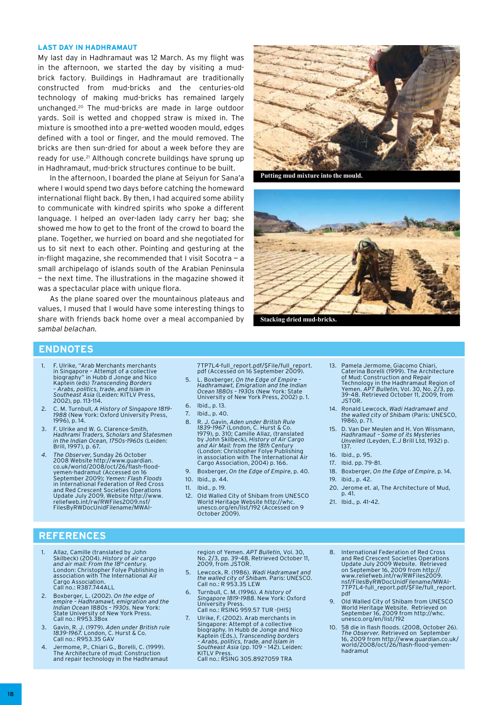#### **Last Day in Hadhramaut**

My last day in Hadhramaut was 12 March. As my flight was in the afternoon, we started the day by visiting a mudbrick factory. Buildings in Hadhramaut are traditionally constructed from mud-bricks and the centuries-old technology of making mud-bricks has remained largely unchanged.20 The mud-bricks are made in large outdoor yards. Soil is wetted and chopped straw is mixed in. The mixture is smoothed into a pre-wetted wooden mould, edges defined with a tool or finger, and the mould removed. The bricks are then sun-dried for about a week before they are ready for use.<sup>21</sup> Although concrete buildings have sprung up in Hadhramaut, mud-brick structures continue to be built.

In the afternoon, I boarded the plane at Seiyun for Sana'a where I would spend two days before catching the homeward international flight back. By then, I had acquired some ability to communicate with kindred spirits who spoke a different language. I helped an over-laden lady carry her bag; she showed me how to get to the front of the crowd to board the plane. Together, we hurried on board and she negotiated for us to sit next to each other. Pointing and gesturing at the in-flight magazine, she recommended that I visit Socotra — a small archipelago of islands south of the Arabian Peninsula — the next time. The illustrations in the magazine showed it was a spectacular place with unique flora.

As the plane soared over the mountainous plateaus and values, I mused that I would have some interesting things to share with friends back home over a meal accompanied by *sambal belachan.*



**Putting mud mixture into the mould.**



**Stacking dried mud-bricks.**

# **ENDNOTES**

- 1. F. Ulrike, "Arab Merchants merchants in Singapore – Attempt of a collective biography" in Hubb d Jonge and Nico Kaptein (eds) *Transcending Borders – Arabs, politics, trade, and Islam in Southeast Asia* (Leiden: KITLV Press, 2002), pp. 113-114.
- 2. C. M. Turnbull, *A History of Singapore 1819- 1988* (New York: Oxford University Press, 1996), p. 14.
- 3. F. Ulrike and W. G. Clarence-Smith, *Hadhrami Traders, Scholars and Statesmen in the Indian Ocean, 1750s-1960s* (Leiden: Brill, 1997), p. 67.
- 4. The Observer, Sunday 26 October<br>2008 Website http://www.guardian.<br>co.uk/world/2008/oct/26/flash-flood-<br>yemen-hadramut (Accessed on 16<br>September 2009); Yemen: Flash Floods<br>in International Federation of Red Cross and Red Crescent Societies Operations Update July 2009, Website http://www. reliefweb.int/rw/RWFiles2009.nsf/ FilesByRWDocUnidFilename/MWAI-

7TP7L4-full\_report.pdf/\$File/full\_report. pdf (Accessed on 16 September 2009).

- 5. L. Boxberger, *On the Edge of Empire Hadhramawt, Emigration and the Indian Ocean 1880s – 1930s* (New York: State University of New York Press, 2002) p. 1.
- 6. Ibid., p. 13.
- 7. Ibid., p. 40.
- 8. R. J. Gavin, *Aden under British Rule 1839-1967* (London, C. Hurst & Co. 1979), p. 310; Camille Allaz, (translated by John Skilbeck), *History of Air Cargo and Air Mail: from the 18th Century*  (London: Christopher Folye Publishing in association with The International Air Cargo Association, 2004) p. 166.
- 9. Boxberger, *On the Edge of Empire*, p. 40.
- 10. Ibid., p. 44.
- 11. Ibid., p. 19.
- 12. Old Walled City of Shibam from UNESCO World Heritage Website http://whc. unesco.org/en/list/192 (Accessed on 9 October 2009).
- 13. Pamela Jermome, Giacomo Chiari, Caterina Borelli (1999). The Architecture of Mud: Construction and Repair<br>Technology in the Hadhramaut Region of<br>Yemen. *APT Bulletin*, Vol. 30, No. 2/3, pp.<br>39-48. Retrieved October 11, 2009, from JSTOR.
- 14. Ronald Lewcock, *Wadi Hadramawt and the walled city of Shibam* (Paris: UNESCO, 1986), p. 71.
- 15. D. Van Der Meulen and H. Von Wissmann, *Hadhramaut Some of its Mysteries Unveiled* (Leyden, E.J Brill Ltd, 1932) p. 137.
- 16. Ibid., p. 95.
- 17. Ibid. pp. 79-81.
- 18. Boxberger, *On the Edge of Empire*, p. 14. 19. ibid., p. 42.
- 
- 20. Jerome et. al, The Architecture of Mud, p. 41. 21. Ibid., p. 41-42.

- **REFERENCES**
	- 1. Allaz, Camille (translated by John Skilbeck) (2004). *History of air cargo and air mail: From the 18th century.*  London: Christopher Folye Publishing in association with The International Air Cargo Association Call no.: R387.744ALL
	- 2. Boxberger, L. (2002). *On the edge of empire – Hadhramawt, emigration and the Indian Ocean 1880s – 1930s.* New York: State University of New York Press. Call no.: R953.3Box
	- 3. Gavin, R. J. (1979). *Aden under British rule 1839-1967.* London, C. Hurst & Co. Call no.: R953.35 GAV
	- 4. Jermome, P., Chiari G., Borelli, C. (1999). The Architecture of mud: Construction and repair technology in the Hadhramaut

region of Yemen. *APT Bulletin,* Vol. 30, No. 2/3, pp. 39-48. Retrieved October 11, 2009, from JSTOR.

- 5. Lewcock, R. (1986). *Wadi Hadramawt and the walled city of Shibam.* Paris: UNESCO. Call no.: R 953.35 LEW
- 6. Turnbull, C. M. (1996). *A history of Singapore 1819-1988*. New York: Oxford University Press. Call no.: RSING 959.57 TUR -[HIS]
- Ulrike, F. (2002). Arab merchants in Singapore: Attempt of a collective biography. In Hubb de Jonge and Nico Kaptein (Eds.), *Transcending borders – Arabs, politics, trade, and Islam in Southeast Asia* (pp. 109 – 142). Leiden: KITLV Press. Call no.: RSING 305.8927059 TRA
- 8. International Federation of Red Cross and Red Crescent Societies Operations Update July 2009 Website. Retrieved on September 16, 2009 from http:// www.reliefweb.int/rw/RWFiles2009. nsf/FilesByRWDocUnidFilename/MWAI-7TP7L4-full\_report.pdf/\$File/full\_report. pdf
- 9. Old Walled City of Shibam from UNESCO World Heritage Website. Retrieved on September 16, 2009 from http://whc. unesco.org/en/list/192
- 58 die in flash floods. (2008, October 26). *The Observer.* Retrieved on September 16, 2009 from http://www.guardian.co.uk/ world/2008/oct/26/flash-flood-yemenhadramut